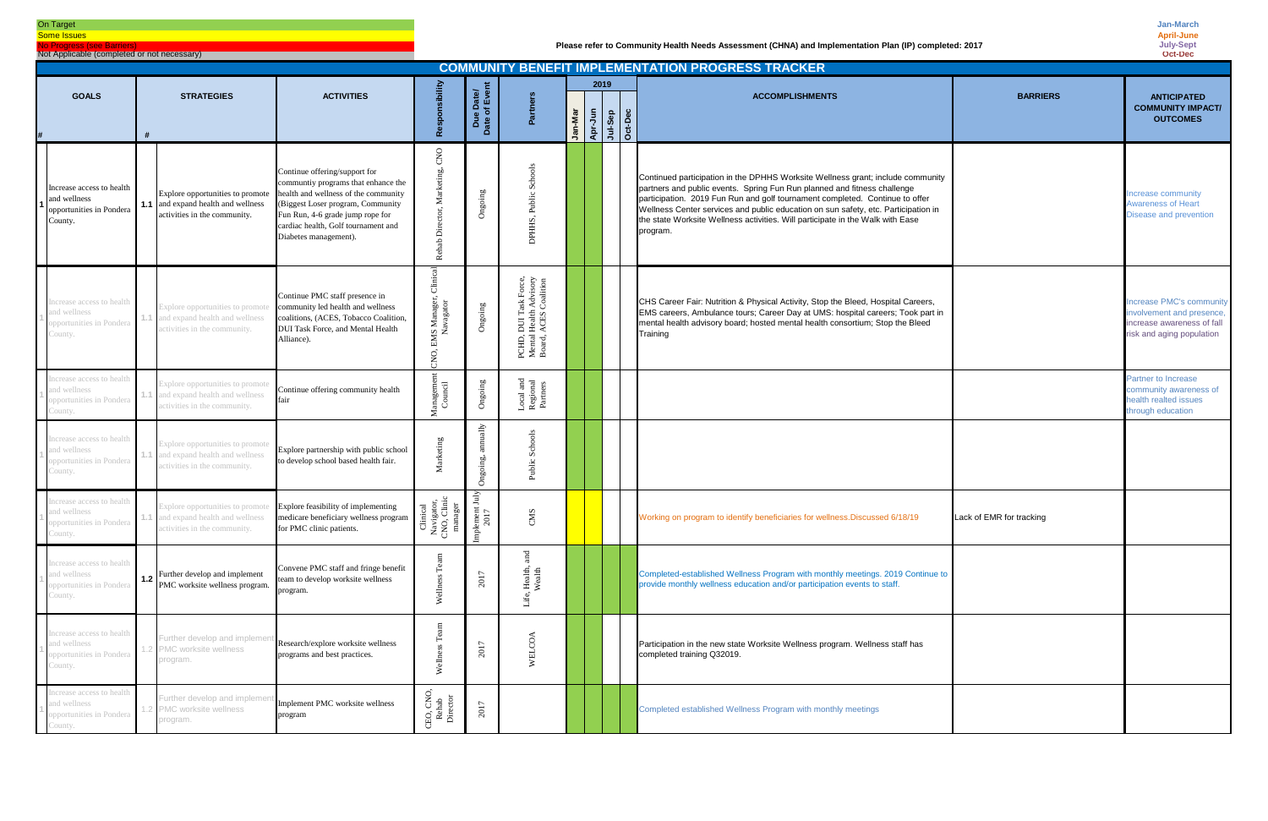|                                                                                  | <b>COMMUNITY BENEFIT IMPLEMENTATION PROGRESS TRACKER</b> |                                                                                                               |                                                                                                                                                                                                                                                       |                                                                                      |                            |                                                                                         |                                                 |      |  |  |                                                                                                                                                                                                                                                                                                                                                                                                                                 |                          |                                                                                                                        |  |
|----------------------------------------------------------------------------------|----------------------------------------------------------|---------------------------------------------------------------------------------------------------------------|-------------------------------------------------------------------------------------------------------------------------------------------------------------------------------------------------------------------------------------------------------|--------------------------------------------------------------------------------------|----------------------------|-----------------------------------------------------------------------------------------|-------------------------------------------------|------|--|--|---------------------------------------------------------------------------------------------------------------------------------------------------------------------------------------------------------------------------------------------------------------------------------------------------------------------------------------------------------------------------------------------------------------------------------|--------------------------|------------------------------------------------------------------------------------------------------------------------|--|
| <b>GOALS</b>                                                                     |                                                          | <b>STRATEGIES</b>                                                                                             | <b>ACTIVITIES</b>                                                                                                                                                                                                                                     | sibilit                                                                              |                            |                                                                                         |                                                 | 2019 |  |  | <b>ACCOMPLISHMENTS</b>                                                                                                                                                                                                                                                                                                                                                                                                          | <b>BARRIERS</b>          | <b>ANTICIPATED</b>                                                                                                     |  |
|                                                                                  |                                                          |                                                                                                               |                                                                                                                                                                                                                                                       |                                                                                      | Due Date/<br>Date of Event | Partners                                                                                | <b>Jan-Mar</b><br>Apr-Jun<br>Jul-Sep<br>Oct-Dec |      |  |  |                                                                                                                                                                                                                                                                                                                                                                                                                                 |                          | <b>COMMUNITY IMPACT/</b><br><b>OUTCOMES</b>                                                                            |  |
|                                                                                  |                                                          |                                                                                                               |                                                                                                                                                                                                                                                       | င်္                                                                                  |                            |                                                                                         |                                                 |      |  |  |                                                                                                                                                                                                                                                                                                                                                                                                                                 |                          |                                                                                                                        |  |
| Increase access to health<br>and wellness<br>opportunities in Pondera<br>County. |                                                          | Explore opportunities to promote<br><b>1.1</b> and expand health and wellness<br>activities in the community. | Continue offering/support for<br>communtiy programs that enhance the<br>health and wellness of the community<br>(Biggest Loser program, Community<br>Fun Run, 4-6 grade jump rope for<br>cardiac health, Golf tournament and<br>Diabetes management). | $_{\rm CNO}$<br>rketing,<br>ž<br>ă<br>Rehab                                          | Ongoing                    | Public Schools<br>DPHHS,                                                                |                                                 |      |  |  | Continued participation in the DPHHS Worksite Wellness grant; include community<br>partners and public events. Spring Fun Run planned and fitness challenge<br>participation. 2019 Fun Run and golf tournament completed. Continue to offer<br>Wellness Center services and public education on sun safety, etc. Participation in<br>the state Worksite Wellness activities. Will participate in the Walk with Ease<br>program. |                          | Increase community<br><b>Awareness of Heart</b><br>Disease and prevention                                              |  |
| ncrease access to health<br>and wellness<br>opportunities in Pondera<br>County.  |                                                          | Explore opportunities to promot<br>and expand health and wellness<br>activities in the community.             | Continue PMC staff presence in<br>community led health and wellness<br>coalitions, (ACES, Tobacco Coalition,<br>DUI Task Force, and Mental Health<br>Alliance).                                                                                       | Clinic<br><b>MS Manager,<br/>Navagator</b><br>巴<br>CNO,                              | Ongoing                    | , DUI Task Force,<br>1 Health Advisory<br>, ACES Coalition<br>PCHD,<br>Mental<br>Board, |                                                 |      |  |  | CHS Career Fair: Nutrition & Physical Activity, Stop the Bleed, Hospital Careers,<br>EMS careers, Ambulance tours; Career Day at UMS: hospital careers; Took part in<br>mental health advisory board; hosted mental health consortium; Stop the Bleed<br>Training                                                                                                                                                               |                          | <b>Increase PMC's community</b><br>involvement and presence<br>increase awareness of fall<br>risk and aging population |  |
| ncrease access to health<br>and wellness<br>opportunities in Pondera<br>County.  |                                                          | Explore opportunities to promote<br>and expand health and wellness<br>activities in the community.            | Continue offering community health<br>fair                                                                                                                                                                                                            | Management<br>Council                                                                | Ongoing                    | Local and<br>Regional<br>Partners                                                       |                                                 |      |  |  |                                                                                                                                                                                                                                                                                                                                                                                                                                 |                          | Partner to Increase<br>community awareness of<br>health realted issues<br>through education                            |  |
| Increase access to health<br>and wellness<br>opportunities in Pondera<br>County. |                                                          | Explore opportunities to promote<br>and expand health and wellness<br>activities in the community.            | Explore partnership with public school<br>to develop school based health fair.                                                                                                                                                                        | Marketing                                                                            | Ongoir                     | Schools<br>Public                                                                       |                                                 |      |  |  |                                                                                                                                                                                                                                                                                                                                                                                                                                 |                          |                                                                                                                        |  |
| ncrease access to health<br>and wellness<br>opportunities in Pondera<br>County.  |                                                          | Explore opportunities to promote<br>and expand health and wellness<br>activities in the community.            | Explore feasibility of implementing<br>medicare beneficiary wellness program<br>for PMC clinic patients.                                                                                                                                              | Clinical<br>Navigator,<br>CNO, Clinic<br>manager<br>Implement July<br>Implement July | ement July<br>2017         | CMS                                                                                     |                                                 |      |  |  | Working on program to identify beneficiaries for wellness. Discussed 6/18/19                                                                                                                                                                                                                                                                                                                                                    | Lack of EMR for tracking |                                                                                                                        |  |
| ncrease access to health<br>and wellness<br>opportunities in Pondera<br>County.  |                                                          | <b>1.2</b> Further develop and implement<br>PMC worksite wellness program.                                    | Convene PMC staff and fringe benefit<br>team to develop worksite wellness<br>program.                                                                                                                                                                 | Team<br>Wellne                                                                       | 2017                       | and<br>Health,<br>Wealth<br>Life,                                                       |                                                 |      |  |  | Completed-established Wellness Program with monthly meetings. 2019 Continue to<br>provide monthly wellness education and/or participation events to staff.                                                                                                                                                                                                                                                                      |                          |                                                                                                                        |  |
| ncrease access to health<br>and wellness<br>opportunities in Pondera<br>County.  |                                                          | Further develop and implem<br>PMC worksite wellness<br>program.                                               | Research/explore worksite wellness<br>programs and best practices.                                                                                                                                                                                    | $\rm{m}$<br>$f^{\omega}$<br>Wellness                                                 | 2017                       | WELCOA                                                                                  |                                                 |      |  |  | Participation in the new state Worksite Wellness program. Wellness staff has<br>completed training Q32019.                                                                                                                                                                                                                                                                                                                      |                          |                                                                                                                        |  |
| ncrease access to health<br>and wellness<br>opportunities in Pondera<br>`ounty.  |                                                          | Further develop and implem<br>PMC worksite wellness<br>program.                                               | Implement PMC worksite wellness<br>program                                                                                                                                                                                                            | CEO, CNO,<br>Rehab<br>Director                                                       | 2017                       |                                                                                         |                                                 |      |  |  | Completed established Wellness Program with monthly meetings                                                                                                                                                                                                                                                                                                                                                                    |                          |                                                                                                                        |  |

#### On Target

**Some Issues No Progress (see Barrier** 

Not Applicable (completed or not necessary)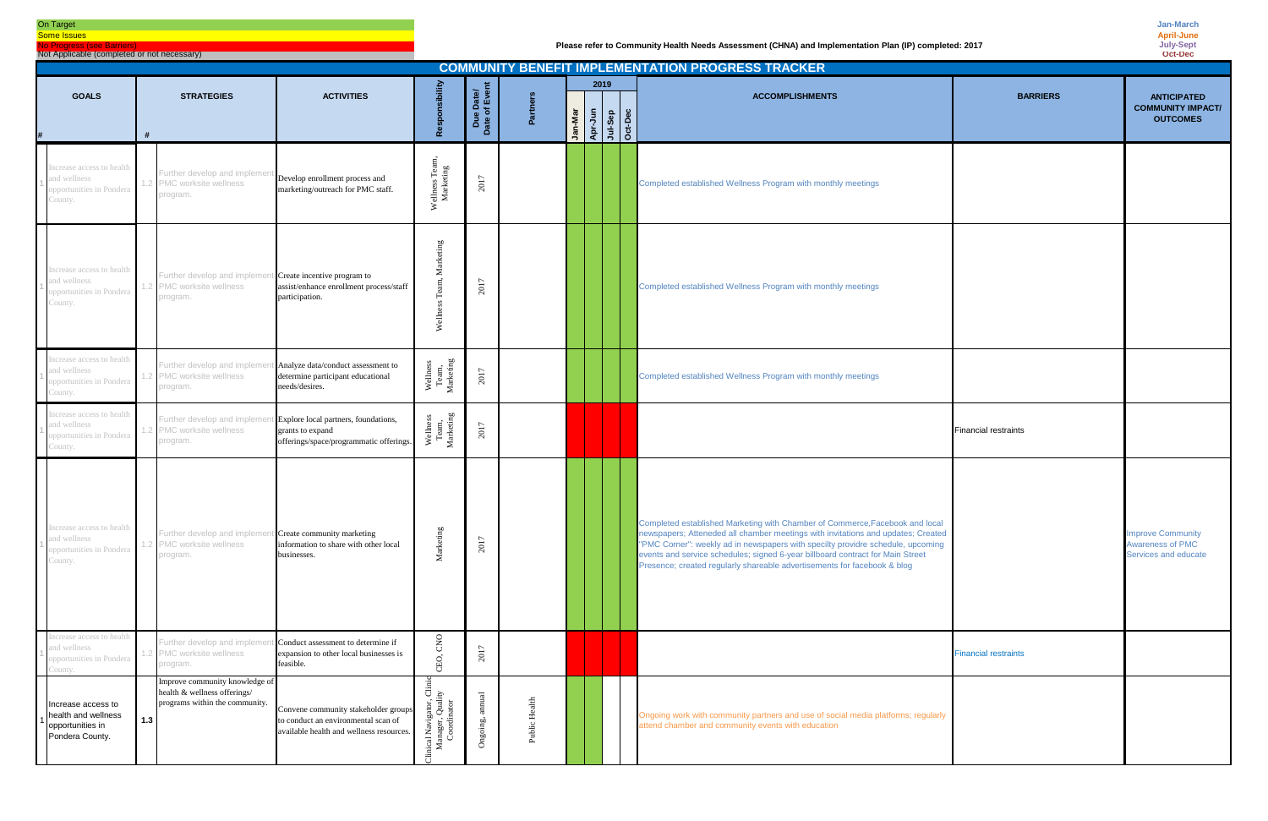# On Target

**Some Issues** No Progress (see Barriers)

Not Applicable (completed or not necessary)

| <b>COMMUNITY BENEFIT IMPLEMENTATION PROGRESS TRACKER</b><br>2019<br>sponsibility<br>Due Date/<br>Date of Event<br><b>ACTIVITIES</b><br><b>GOALS</b><br><b>STRATEGIES</b><br><b>BARRIERS</b><br>Partners<br><b>ACCOMPLISHMENTS</b><br>Jan-Mar<br>Apr-Jun<br>Jul-Sep<br>Oct-Dec<br><b>OUTCOMES</b><br><b>e</b><br>#<br>Increase access to health<br>Wellness Tean<br>Marketing<br>Further develop and impleme<br>Develop enrollment process and<br>and wellness<br>2017<br>PMC worksite wellness<br>Completed established Wellness Program with monthly meetings<br>marketing/outreach for PMC staff.<br>opportunities in Pondera<br>program.<br>Marketing<br>Increase access to health<br>Further develop and implem<br>t Create incentive program to<br>Team,<br>and wellness<br>2017<br>.2 PMC worksite wellness<br>assist/enhance enrollment process/staff<br>Completed established Wellness Program with monthly meetings<br>opportunities in Pondera<br>participation.<br>program.<br>Welln<br>Increase access to health<br>Wellness<br>Team,<br>Marketing<br>Analyze data/conduct assessment to<br>Further develop and implem<br>and wellness<br>2017<br>.2 PMC worksite wellness<br>Completed established Wellness Program with monthly meetings<br>determine participant educational<br>needs/desires.<br>program.<br>Increase access to health<br>Wellness<br>Team,<br>Marketing<br>t Explore local partners, foundations,<br>Further develop and implem<br>and wellness<br>2017<br>.2 PMC worksite wellness<br>grants to expand<br><b>Financial restraints</b><br>opportunities in Pondera<br>offerings/space/programmatic offerings.<br>program. |     |                                                                                                  |                                                                                                                         |                                                                                                    |          |               |  |  |                                                                                                                                                                                                                                                                                                                                                                                                                   |                             |                                                                      |
|------------------------------------------------------------------------------------------------------------------------------------------------------------------------------------------------------------------------------------------------------------------------------------------------------------------------------------------------------------------------------------------------------------------------------------------------------------------------------------------------------------------------------------------------------------------------------------------------------------------------------------------------------------------------------------------------------------------------------------------------------------------------------------------------------------------------------------------------------------------------------------------------------------------------------------------------------------------------------------------------------------------------------------------------------------------------------------------------------------------------------------------------------------------------------------------------------------------------------------------------------------------------------------------------------------------------------------------------------------------------------------------------------------------------------------------------------------------------------------------------------------------------------------------------------------------------------------------------------------------------------------------------------------|-----|--------------------------------------------------------------------------------------------------|-------------------------------------------------------------------------------------------------------------------------|----------------------------------------------------------------------------------------------------|----------|---------------|--|--|-------------------------------------------------------------------------------------------------------------------------------------------------------------------------------------------------------------------------------------------------------------------------------------------------------------------------------------------------------------------------------------------------------------------|-----------------------------|----------------------------------------------------------------------|
|                                                                                                                                                                                                                                                                                                                                                                                                                                                                                                                                                                                                                                                                                                                                                                                                                                                                                                                                                                                                                                                                                                                                                                                                                                                                                                                                                                                                                                                                                                                                                                                                                                                            |     |                                                                                                  |                                                                                                                         |                                                                                                    |          |               |  |  |                                                                                                                                                                                                                                                                                                                                                                                                                   |                             | <b>ANTICIPATED</b>                                                   |
|                                                                                                                                                                                                                                                                                                                                                                                                                                                                                                                                                                                                                                                                                                                                                                                                                                                                                                                                                                                                                                                                                                                                                                                                                                                                                                                                                                                                                                                                                                                                                                                                                                                            |     |                                                                                                  |                                                                                                                         |                                                                                                    |          |               |  |  |                                                                                                                                                                                                                                                                                                                                                                                                                   |                             | <b>COMMUNITY IMPACT/</b>                                             |
| County.                                                                                                                                                                                                                                                                                                                                                                                                                                                                                                                                                                                                                                                                                                                                                                                                                                                                                                                                                                                                                                                                                                                                                                                                                                                                                                                                                                                                                                                                                                                                                                                                                                                    |     |                                                                                                  |                                                                                                                         |                                                                                                    |          |               |  |  |                                                                                                                                                                                                                                                                                                                                                                                                                   |                             |                                                                      |
| County.                                                                                                                                                                                                                                                                                                                                                                                                                                                                                                                                                                                                                                                                                                                                                                                                                                                                                                                                                                                                                                                                                                                                                                                                                                                                                                                                                                                                                                                                                                                                                                                                                                                    |     |                                                                                                  |                                                                                                                         |                                                                                                    |          |               |  |  |                                                                                                                                                                                                                                                                                                                                                                                                                   |                             |                                                                      |
| opportunities in Pondera<br>County.                                                                                                                                                                                                                                                                                                                                                                                                                                                                                                                                                                                                                                                                                                                                                                                                                                                                                                                                                                                                                                                                                                                                                                                                                                                                                                                                                                                                                                                                                                                                                                                                                        |     |                                                                                                  |                                                                                                                         |                                                                                                    |          |               |  |  |                                                                                                                                                                                                                                                                                                                                                                                                                   |                             |                                                                      |
| County.                                                                                                                                                                                                                                                                                                                                                                                                                                                                                                                                                                                                                                                                                                                                                                                                                                                                                                                                                                                                                                                                                                                                                                                                                                                                                                                                                                                                                                                                                                                                                                                                                                                    |     |                                                                                                  |                                                                                                                         |                                                                                                    |          |               |  |  |                                                                                                                                                                                                                                                                                                                                                                                                                   |                             |                                                                      |
| icrease access to<br>and wellness<br>opportunities in Pondera<br>County.                                                                                                                                                                                                                                                                                                                                                                                                                                                                                                                                                                                                                                                                                                                                                                                                                                                                                                                                                                                                                                                                                                                                                                                                                                                                                                                                                                                                                                                                                                                                                                                   |     | Further develop and impleme<br>PMC worksite wellness<br>program.                                 | t Create community marketing<br>information to share with other local<br>businesses.                                    | Marketing                                                                                          | 2017     |               |  |  | Completed established Marketing with Chamber of Commerce, Facebook and local<br>newspapers; Atteneded all chamber meetings with invitations and updates; Created<br>"PMC Corner": weekly ad in newspapers with specilty providre schedule, upcoming<br>events and service schedules; signed 6-year billboard contract for Main Street<br>Presence; created regularly shareable advertisements for facebook & blog |                             | <b>Improve Community</b><br>Awareness of PMC<br>Services and educate |
| Increase access to health<br>and wellness<br>opportunities in Pondera<br>untv.                                                                                                                                                                                                                                                                                                                                                                                                                                                                                                                                                                                                                                                                                                                                                                                                                                                                                                                                                                                                                                                                                                                                                                                                                                                                                                                                                                                                                                                                                                                                                                             |     | Further develop and implem<br>2 PMC worksite wellness<br>program.                                | t Conduct assessment to determine if<br>expansion to other local businesses is<br>feasible.                             | CNO<br>CEO,                                                                                        | 2017     |               |  |  |                                                                                                                                                                                                                                                                                                                                                                                                                   | <b>Financial restraints</b> |                                                                      |
| Increase access to<br>health and wellness<br>opportunities in<br>Pondera County.                                                                                                                                                                                                                                                                                                                                                                                                                                                                                                                                                                                                                                                                                                                                                                                                                                                                                                                                                                                                                                                                                                                                                                                                                                                                                                                                                                                                                                                                                                                                                                           | 1.3 | Improve community knowledge of<br>health & wellness offerings/<br>programs within the community. | Convene community stakeholder groups<br>to conduct an environmental scan of<br>available health and wellness resources. | $\ddot{a}$<br>gator, Cl:<br>Quality<br>nator<br>Clinical Navig<br>Manager, <sup>1</sup><br>Coordin | Ongoing, | Public Health |  |  | Ongoing work with community partners and use of social media platforms; regularly<br>attend chamber and community events with education                                                                                                                                                                                                                                                                           |                             |                                                                      |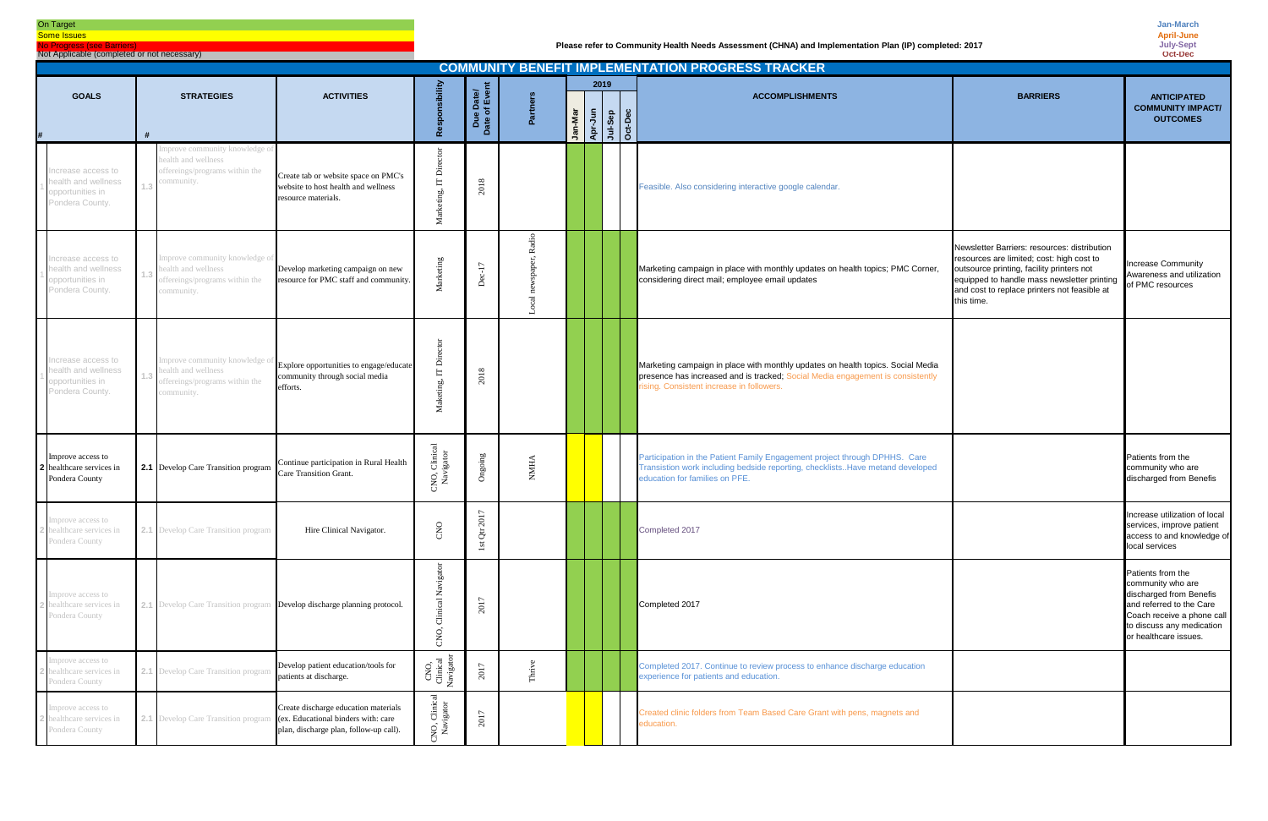#### On Target

**Some Issues** No Progress (see Barriers)

Not Applicable (completed or not necessary)

| <b>COMMUNITY BENEFIT IMPLEMENTATION PROGRESS TRACKER</b><br>2019                 |                                                                                                      |                                                                                                                      |                               |                            |          |         |                                       |  |  |                                                                                                                                                                                                                |                                                                                                                                                                                                                                                     |                                                                                                                                                                                   |  |
|----------------------------------------------------------------------------------|------------------------------------------------------------------------------------------------------|----------------------------------------------------------------------------------------------------------------------|-------------------------------|----------------------------|----------|---------|---------------------------------------|--|--|----------------------------------------------------------------------------------------------------------------------------------------------------------------------------------------------------------------|-----------------------------------------------------------------------------------------------------------------------------------------------------------------------------------------------------------------------------------------------------|-----------------------------------------------------------------------------------------------------------------------------------------------------------------------------------|--|
| <b>GOALS</b>                                                                     | <b>STRATEGIES</b>                                                                                    | <b>ACTIVITIES</b>                                                                                                    | ponsibility<br>ၕ              | Due Date/<br>Date of Event | Partners | Jan-Mar | <b>Apr-Jun<br/>Al-Sep<br/>Oct-Dec</b> |  |  | <b>ACCOMPLISHMENTS</b>                                                                                                                                                                                         | <b>BARRIERS</b>                                                                                                                                                                                                                                     | <b>ANTICIPATED</b><br><b>COMMUNITY IMPACT/</b><br><b>OUTCOMES</b>                                                                                                                 |  |
| ncrease access to<br>health and wellness<br>opportunities in<br>Pondera County.  | mprove community knowledge of<br>health and wellness<br>offereings/programs within the<br>community. | Create tab or website space on PMC's<br>website to host health and wellness<br>resource materials.                   | ā<br>Σ                        | 2018                       |          |         |                                       |  |  | Feasible. Also considering interactive google calendar.                                                                                                                                                        |                                                                                                                                                                                                                                                     |                                                                                                                                                                                   |  |
| Increase access to<br>health and wellness<br>opportunities in<br>Pondera County. | improve community knowledge of<br>health and wellness<br>offereings/programs within the<br>ommunity. | Develop marketing campaign on new<br>resource for PMC staff and community.                                           | Marketing                     | $20 - 17$                  | $\alpha$ |         |                                       |  |  | Marketing campaign in place with monthly updates on health topics; PMC Corner,<br>considering direct mail; employee email updates                                                                              | Newsletter Barriers: resources: distribution<br>resources are limited; cost: high cost to<br>outsource printing, facility printers not<br>equipped to handle mass newsletter printing<br>and cost to replace printers not feasible at<br>this time. | <b>Increase Community</b><br>Awareness and utilization<br>of PMC resources                                                                                                        |  |
| ncrease access to<br>health and wellness<br>opportunities in<br>Pondera County.  | offereings/programs within the<br>ommunity.                                                          | improve community knowledge of Explore opportunities to engage/educate<br>community through social media<br>efforts. | ā<br>Maketing,                | 2018                       |          |         |                                       |  |  | Marketing campaign in place with monthly updates on health topics. Social Media<br>presence has increased and is tracked; Social Media engagement is consistently<br>rising. Consistent increase in followers. |                                                                                                                                                                                                                                                     |                                                                                                                                                                                   |  |
| Improve access to<br>healthcare services in<br>Pondera County                    | 2.1 Develop Care Transition program                                                                  | Continue participation in Rural Health<br>Care Transition Grant.                                                     | CNO, Clinical<br>Navigator    | Ongoing                    | NMHA     |         |                                       |  |  | Participation in the Patient Family Engagement project through DPHHS. Care<br>Transistion work including bedside reporting, checklistsHave metand developed<br>education for families on PFE.                  |                                                                                                                                                                                                                                                     | Patients from the<br>community who are<br>discharged from Benefis                                                                                                                 |  |
| Improve access to<br>healthcare services in<br>Pondera County                    | 2.1 Develop Care Transition program                                                                  | Hire Clinical Navigator.                                                                                             | CNO                           | 2017<br>1st Qtr            |          |         |                                       |  |  | Completed 2017                                                                                                                                                                                                 |                                                                                                                                                                                                                                                     | Increase utilization of local<br>services, improve patient<br>access to and knowledge of<br>local services                                                                        |  |
| mprove access to<br>healthcare services in<br>Pondera County                     | 2.1 Develop Care Transition program Develop discharge planning protocol.                             |                                                                                                                      | vigator<br>Clinical<br>CNO,   | 2017                       |          |         |                                       |  |  | Completed 2017                                                                                                                                                                                                 |                                                                                                                                                                                                                                                     | Patients from the<br>community who are<br>discharged from Benefis<br>and referred to the Care<br>Coach receive a phone call<br>to discuss any medication<br>or healthcare issues. |  |
| mprove access to<br>ealthcare services in<br>Pondera County                      | 2.1 Develop Care Transition program                                                                  | Develop patient education/tools for<br>patients at discharge.                                                        | CNO,<br>Clinical<br>Navigaton | 2017                       | Thrive   |         |                                       |  |  | Completed 2017. Continue to review process to enhance discharge education<br>experience for patients and education.                                                                                            |                                                                                                                                                                                                                                                     |                                                                                                                                                                                   |  |
| mprove access to<br>ealthcare services in<br>Pondera County                      | 2.1 Develop Care Transition program (ex. Educational binders with: care                              | Create discharge education materials<br>plan, discharge plan, follow-up call).                                       | NO, Clinical<br>Navigator     | 2017                       |          |         |                                       |  |  | Created clinic folders from Team Based Care Grant with pens, magnets and<br>education.                                                                                                                         |                                                                                                                                                                                                                                                     |                                                                                                                                                                                   |  |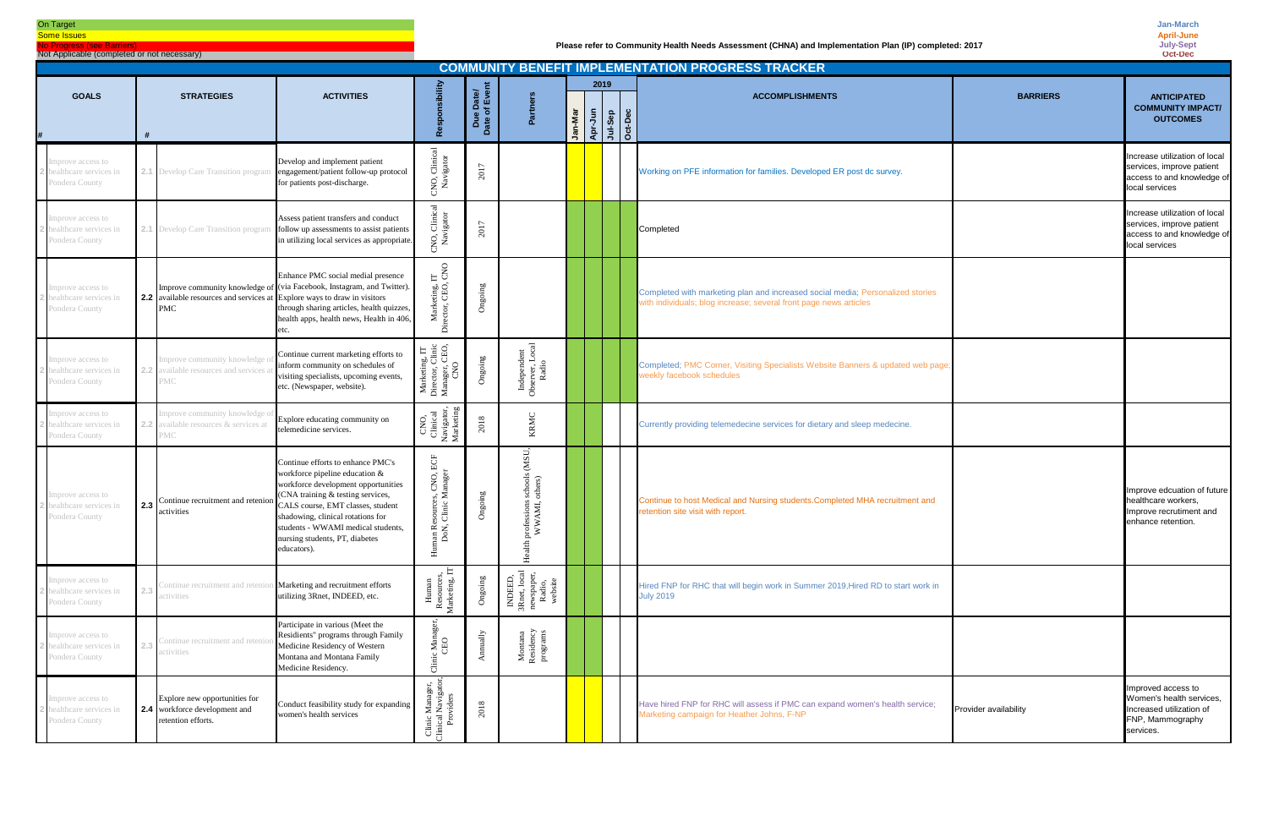# On Target

**Some Issues** No Progress (see Barrier

Not Applicable (completed or not necessary)

| <b>COMMUNITY BENEFIT IMPLEMENTATION PROGRESS TRACKER</b><br>2019<br><b>GOALS</b><br><b>STRATEGIES</b><br><b>ACTIVITIES</b><br><b>BARRIERS</b><br><b>ACCOMPLISHMENTS</b> |     |                                                                                               |                                                                                                                                                                                                                                                                                                                  |                                                                                              |                      |                                                                          |         |                                   |  |  |                                                                                                                                                     |                       |                                                                                                             |
|-------------------------------------------------------------------------------------------------------------------------------------------------------------------------|-----|-----------------------------------------------------------------------------------------------|------------------------------------------------------------------------------------------------------------------------------------------------------------------------------------------------------------------------------------------------------------------------------------------------------------------|----------------------------------------------------------------------------------------------|----------------------|--------------------------------------------------------------------------|---------|-----------------------------------|--|--|-----------------------------------------------------------------------------------------------------------------------------------------------------|-----------------------|-------------------------------------------------------------------------------------------------------------|
|                                                                                                                                                                         |     |                                                                                               |                                                                                                                                                                                                                                                                                                                  | sponsibility                                                                                 | le Date/<br>of Event | Partners                                                                 |         |                                   |  |  |                                                                                                                                                     |                       | <b>ANTICIPATED</b><br><b>COMMUNITY IMPACT/</b>                                                              |
|                                                                                                                                                                         |     |                                                                                               |                                                                                                                                                                                                                                                                                                                  | å                                                                                            | Date<br>Date         |                                                                          | Jan-Mar | Apr-Jun<br>Apr-Jun-Sep<br>Oct-Dec |  |  |                                                                                                                                                     |                       | <b>OUTCOMES</b>                                                                                             |
| mprove access to<br>ealthcare services in<br>Pondera County                                                                                                             |     | 2.1 Develop Care Transition program                                                           | Develop and implement patient<br>engagement/patient follow-up protocol<br>for patients post-discharge.                                                                                                                                                                                                           | 'NO, Clinical<br>Navigator                                                                   | 2017                 |                                                                          |         |                                   |  |  | Working on PFE information for families. Developed ER post dc survey.                                                                               |                       | Increase utilization of local<br>services, improve patient<br>access to and knowledge of<br>local services  |
| mprove access to<br>ealthcare services in<br>Pondera County                                                                                                             |     |                                                                                               | Assess patient transfers and conduct<br>2.1 Develop Care Transition program follow up assessments to assist patients<br>in utilizing local services as appropriate.                                                                                                                                              | NO, Clinical<br>Navigator                                                                    | 2017                 |                                                                          |         |                                   |  |  | Completed                                                                                                                                           |                       | Increase utilization of local<br>services, improve patient<br>access to and knowledge of<br>local services  |
| mprove access to<br>ealthcare services in<br>Pondera County                                                                                                             |     | <b>2.2</b> available resources and services at Explore ways to draw in visitors<br><b>PMC</b> | Enhance PMC social medial presence<br>Improve community knowledge of (via Facebook, Instagram, and Twitter).<br>through sharing articles, health quizzes,<br>health apps, health news, Health in 406,<br>etc.                                                                                                    | $\mathop{\mathsf{E}}$ 80<br>Marketing, I<br>rector, CEO,<br>ة                                | Ongoing              |                                                                          |         |                                   |  |  | Completed with marketing plan and increased social media; Personalized stories<br>with individuals; blog increase; several front page news articles |                       |                                                                                                             |
| mprove access to<br>ealthcare services in<br>Pondera County                                                                                                             |     | Improve community knowledge<br>available resources and services<br>MC                         | Continue current marketing efforts to<br>inform community on schedules of<br>visiting specialists, upcoming events,<br>etc. (Newspaper, website).                                                                                                                                                                | Marketing, IT<br>Director, Clinic<br>Manager, CEO,<br>CNO                                    | Ongoing              | Independent<br>Observer, Local<br>Radio                                  |         |                                   |  |  | Completed; PMC Corner, Visiting Specialists Website Banners & updated web page<br>weekly facebook schedules                                         |                       |                                                                                                             |
| mprove access to<br>ealthcare services in<br>Pondera County                                                                                                             |     | mprove community knowledge<br>available resources & services at<br>'МС                        | Explore educating community on<br>telemedicine services.                                                                                                                                                                                                                                                         | Navigator,<br>Marketing<br>CNO,<br>Clinical                                                  | 2018                 | KRMC                                                                     |         |                                   |  |  | Currently providing telemedecine services for dietary and sleep medecine.                                                                           |                       |                                                                                                             |
| mprove access to<br>ealthcare services in<br>Pondera County                                                                                                             | 2.3 | Continue recruitment and retenic<br>activities                                                | Continue efforts to enhance PMC's<br>workforce pipeline education &<br>workforce development opportunities<br>(CNA training & testing services,<br>CALS course, EMT classes, student<br>shadowing, clinical rotations for<br>students - WWAMI medical students,<br>nursing students, PT, diabetes<br>educators). | $\operatorname{ECF}$<br>es, CNO,<br>Manager<br>Resources<br>J, Clinic I<br>nan R<br>DoN<br>로 | Ongoing              | (MSU,<br>schools<br>others)<br>ssions<br>AMI,<br>ੇ<br>pro<br>⋗<br>Health |         |                                   |  |  | Continue to host Medical and Nursing students. Completed MHA recruitment and<br>retention site visit with report.                                   |                       | Improve edcuation of future<br>healthcare workers.<br>Improve recrutiment and<br>enhance retention.         |
| mprove access to<br>ealthcare services in<br>Pondera County                                                                                                             |     | Continue recruitment and retenio<br>activities                                                | Marketing and recruitment efforts<br>utilizing 3Rnet, INDEED, etc.                                                                                                                                                                                                                                               | E<br>Human<br>Resources<br>Marketing,                                                        | Ongoing              | INDEED,<br>3Rnet, local<br>newspaper,<br>Radio,<br>Radio,<br>website     |         |                                   |  |  | Hired FNP for RHC that will begin work in Summer 2019, Hired RD to start work in<br><b>July 2019</b>                                                |                       |                                                                                                             |
| mprove access to<br>ealthcare services in<br>Pondera County                                                                                                             |     | Continue recruitment and reteni<br>ictivities                                                 | Participate in various (Meet the<br>Residients" programs through Family<br>Medicine Residency of Western<br>Montana and Montana Family<br>Medicine Residency.                                                                                                                                                    | c Manager,<br>CEO<br>${\rm Clinic}$                                                          | Annually             | Montana<br>Residency<br>programs                                         |         |                                   |  |  |                                                                                                                                                     |                       |                                                                                                             |
| mprove access to<br>realthcare services in<br>Pondera County                                                                                                            |     | Explore new opportunities for<br><b>2.4</b> workforce development and<br>retention efforts.   | Conduct feasibility study for expanding<br>women's health services                                                                                                                                                                                                                                               | Clinic Manager,<br>Clinical Navigator,<br>Providers                                          | 2018                 |                                                                          |         |                                   |  |  | Have hired FNP for RHC will assess if PMC can expand women's health service;<br>Marketing campaign for Heather Johns, F-NP                          | Provider availability | Improved access to<br>Women's health services,<br>Increased utilization of<br>FNP, Mammography<br>services. |